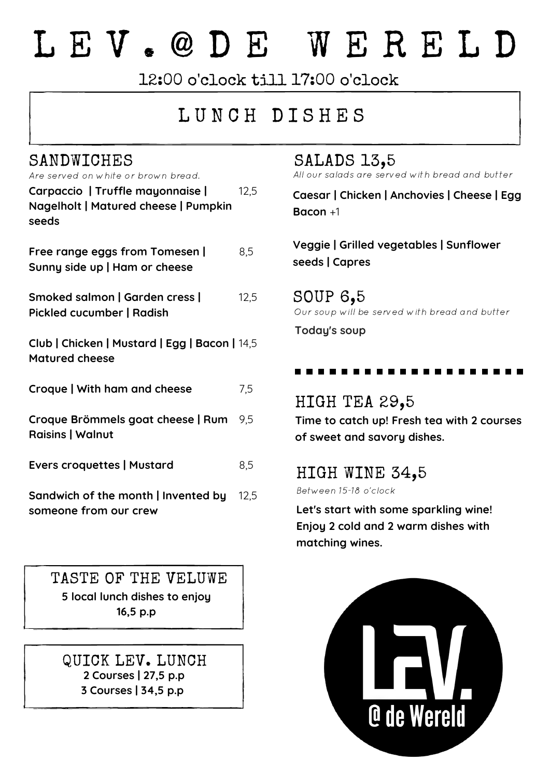# L E V . @ D E W E R E L D

12:00 o'clock till 17:00 o'clock

# LUNCH DISHES

| Carpaccio   Truffle mayonnaise       | 12.5 |
|--------------------------------------|------|
| Nagelholt   Matured cheese   Pumpkin |      |
| seeds                                |      |
|                                      |      |

**Free range eggs from Tomesen | Sunny side up | Ham or cheese** 8,5

**Smoked salmon | Garden cress | Pickled cucumber | Radish** 12,5

**Club | Chicken | Mustard | Egg | Bacon |** 14,5 **Matured cheese**

**Croque | With ham and cheese** 7,5

**Croque Brömmels goat cheese | Rum Raisins | Walnut** 9,5

**Evers croquettes | Mustard** 8,5

**Sandwich of the month | Invented by** 12,5 **someone from our crew**

TASTE OF THE VELUWE **5 local lunch dishes to enjoy 16,5 p.p**

QUICK LEV. LUNCH **2 Courses | 27,5 p.p 3 Courses | 34,5 p.p**

# SANDWICHES<br>Are served on white or brown bread. All our salads are served

All our salads are served with bread and butter

**Caesar | Chicken | Anchovies | Cheese | Egg Bacon** +1

**Veggie | Grilled vegetables | Sunflower seeds | Capres**

SOUP 6,5 Our soup will be served with bread and butter

**Today's soup**

#### HIGH TEA 29,5

**Time to catch up! Fresh tea with 2 courses of sweet and savory dishes.**

### HIGH WINE 34,5

Between 15-18 o'clock

**Let's start with some sparkling wine! Enjoy 2 cold and 2 warm dishes with matching wines.**

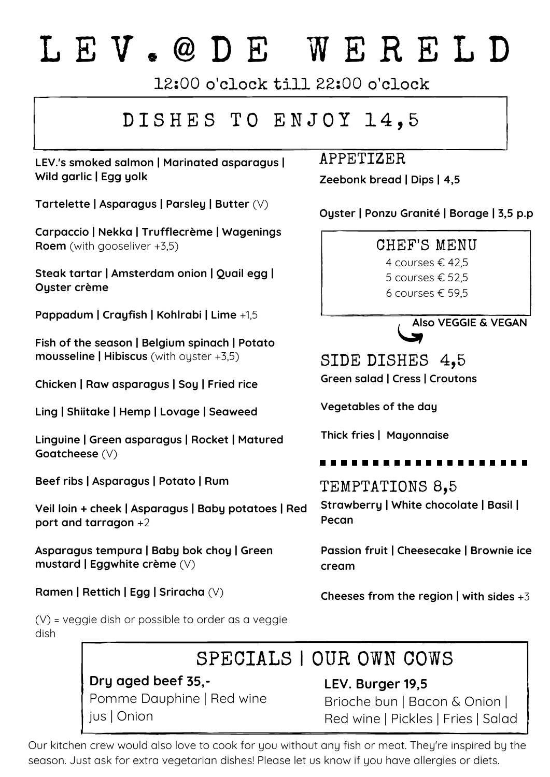# L E V . @ D E W E R E L D

12:00 o'clock till 22:00 o'clock

# DISHES TO ENJOY 14,5

**LEV.'s smoked salmon | Marinated asparagus | Wild garlic | Egg yolk**

**Tartelette | Asparagus | Parsley | Butter** (V)

**Carpaccio | Nekka | Trufflecrème | Wagenings Roem** (with gooseliver +3,5)

**Steak tartar | Amsterdam onion | Quail egg | Oyster crème**

**Pappadum | Crayfish | Kohlrabi | Lime** +1,5

**Fish of the season | Belgium spinach | Potato mousseline | Hibiscus** (with oyster +3,5)

**Chicken | Raw asparagus | Soy | Fried rice**

**Ling | Shiitake | Hemp | Lovage | Seaweed**

**Linguine | Green asparagus | Rocket | Matured Goatcheese** (V)

**Beef ribs | Asparagus | Potato | Rum**

**Veil loin + cheek | Asparagus | Baby potatoes | Red port and tarragon** +2

**Asparagus tempura | Baby bok choy | Green mustard | Eggwhite crème** (V)

**Ramen | Rettich | Egg | Sriracha** (V)

(V) = veggie dish or possible to order as a veggie dish

# SPECIALS | OUR OWN COWS

**Dry aged beef 35,-** Pomme Dauphine | Red wine jus | Onion

APPETIZER

**Zeebonk bread | Dips | 4,5**

**Oyster | Ponzu Granité | Borage | 3,5 p.p**

CHEF'S MENU

4 courses € 42,5 5 courses € 52,5

6 courses € 59,5



**Green salad | Cress | Croutons** SIDE DISHES 4,5

**Vegetables of the day**

**Thick fries | Mayonnaise**

TEMPTATIONS 8,5 **Strawberry | White chocolate | Basil | Pecan**

**Passion fruit | Cheesecake | Brownie ice cream**

**Cheeses from the region | with sides** +3

**LEV. Burger 19,5** Brioche bun | Bacon & Onion | Red wine | Pickles | Fries | Salad

Our kitchen crew would also love to cook for you without any fish or meat. They're inspired by the season. Just ask for extra vegetarian dishes! Please let us know if you have allergies or diets.